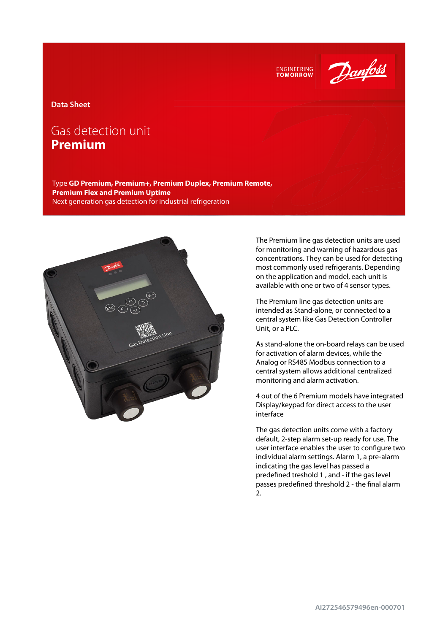



# **Data Sheet**

# Gas detection unit **Premium**

Type **GD Premium, Premium+, Premium Duplex, Premium Remote, Premium Flex and Premium Uptime** Next generation gas detection for industrial refrigeration



The Premium line gas detection units are used for monitoring and warning of hazardous gas concentrations. They can be used for detecting most commonly used refrigerants. Depending on the application and model, each unit is available with one or two of 4 sensor types.

The Premium line gas detection units are intended as Stand-alone, or connected to a central system like Gas Detection Controller Unit, or a PLC.

As stand-alone the on-board relays can be used for activation of alarm devices, while the Analog or RS485 Modbus connection to a central system allows additional centralized monitoring and alarm activation.

4 out of the 6 Premium models have integrated Display/keypad for direct access to the user interface

The gas detection units come with a factory default, 2-step alarm set-up ready for use. The user interface enables the user to configure two individual alarm settings. Alarm 1, a pre-alarm indicating the gas level has passed a predefined treshold 1, and - if the gas level passes predefined threshold 2 - the final alarm 2.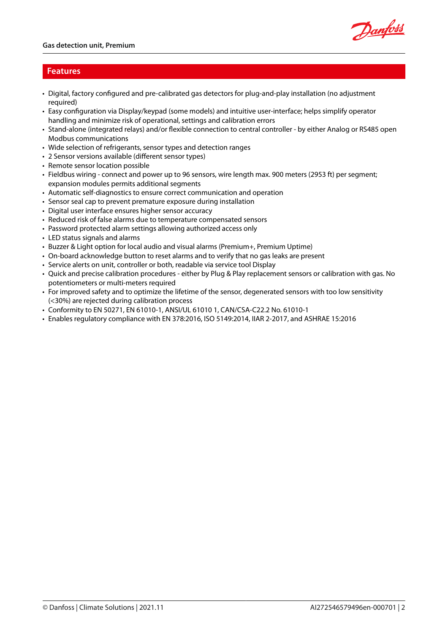

### **Features**

- Digital, factory configured and pre-calibrated gas detectors for plug-and-play installation (no adjustment required)
- Easy configuration via Display/keypad (some models) and intuitive user-interface; helps simplify operator handling and minimize risk of operational, settings and calibration errors
- Stand-alone (integrated relays) and/or flexible connection to central controller by either Analog or RS485 open Modbus communications
- Wide selection of refrigerants, sensor types and detection ranges
- 2 Sensor versions available (different sensor types)
- Remote sensor location possible
- Fieldbus wiring connect and power up to 96 sensors, wire length max. 900 meters (2953 ft) per segment; expansion modules permits additional segments
- Automatic self-diagnostics to ensure correct communication and operation
- Sensor seal cap to prevent premature exposure during installation
- Digital user interface ensures higher sensor accuracy
- Reduced risk of false alarms due to temperature compensated sensors
- Password protected alarm settings allowing authorized access only
- LED status signals and alarms
- Buzzer & Light option for local audio and visual alarms (Premium+, Premium Uptime)
- On-board acknowledge button to reset alarms and to verify that no gas leaks are present
- Service alerts on unit, controller or both, readable via service tool Display
- Quick and precise calibration procedures either by Plug & Play replacement sensors or calibration with gas. No potentiometers or multi-meters required
- For improved safety and to optimize the lifetime of the sensor, degenerated sensors with too low sensitivity (<30%) are rejected during calibration process
- Conformity to EN 50271, EN 61010-1, ANSI/UL 61010 1, CAN/CSA-C22.2 No. 61010-1
- Enables regulatory compliance with EN 378:2016, ISO 5149:2014, IIAR 2-2017, and ASHRAE 15:2016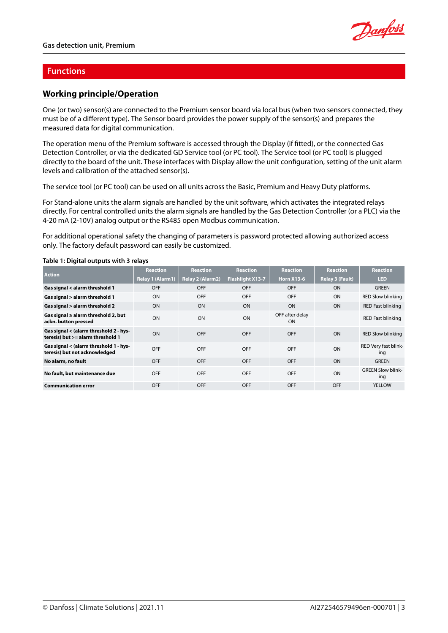

### **Functions**

# **Working principle/Operation**

One (or two) sensor(s) are connected to the Premium sensor board via local bus (when two sensors connected, they must be of a different type). The Sensor board provides the power supply of the sensor(s) and prepares the measured data for digital communication.

The operation menu of the Premium software is accessed through the Display (if fitted), or the connected Gas Detection Controller, or via the dedicated GD Service tool (or PC tool). The Service tool (or PC tool) is plugged directly to the board of the unit. These interfaces with Display allow the unit configuration, setting of the unit alarm levels and calibration of the attached sensor(s).

The service tool (or PC tool) can be used on all units across the Basic, Premium and Heavy Duty platforms.

For Stand-alone units the alarm signals are handled by the unit software, which activates the integrated relays directly. For central controlled units the alarm signals are handled by the Gas Detection Controller (or a PLC) via the 4-20 mA (2-10V) analog output or the RS485 open Modbus communication.

For additional operational safety the changing of parameters is password protected allowing authorized access only. The factory default password can easily be customized.

#### **Action Reaction Reaction Reaction Reaction Reaction Reaction Relay 1 (Alarm1) Relay 2 (Alarm2) Flashlight X13-7 Horn X13-6 Relay 3 (Fault) LED Gas signal < alarm threshold 1** OFF OFF OFF OFF ON GREEN **Gas signal > alarm threshold 1** ON OFF OFF OFF ON RED Slow blinking **Gas signal > alarm threshold 2** ON ON ON ON ON RED Fast blinking **Gas signal ≥ alarm threshold 2, but ackn. button pressed** ON ON ON OFF after delay OFF after delay<br>
ON RED Fast blinking **Gas signal < (alarm threshold 2 - hys‐ teresis) but >= alarm threshold 1** ON OFF OFF OFF ON RED Slow blinking **Gas signal < (alarm threshold 1 - hys‐ teresis) but not acknowledged** OFF OFF OFF OFF ON RED Very fast blinking **No alarm, no fault OFF** OFF OFF OFF OFF OFF ON GREEN **No fault, but maintenance due** OFF OFF OFF OFF ON GREEN Slow blinking **Communication error** OFF OFF OFF OFF OFF YELLOW

#### **Table 1: Digital outputs with 3 relays**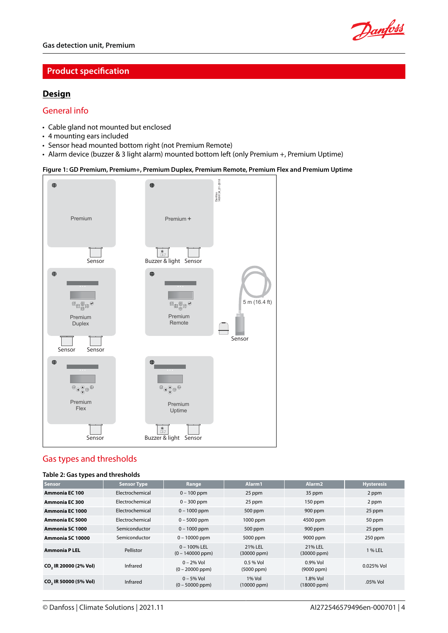

# **Product specification**

# **Design**

# General info

- Cable gland not mounted but enclosed
- 4 mounting ears included
- Sensor head mounted bottom right (not Premium Remote)
- Alarm device (buzzer & 3 light alarm) mounted bottom left (only Premium +, Premium Uptime)

### **Figure 1: GD Premium, Premium+, Premium Duplex, Premium Remote, Premium Flex and Premium Uptime**



# Gas types and thresholds

#### **Table 2: Gas types and thresholds**

| <b>Sensor</b>                     | <b>Sensor Type</b> | Range                                 | Alarm1                      | Alarm <sub>2</sub>             | <b>Hysteresis</b> |
|-----------------------------------|--------------------|---------------------------------------|-----------------------------|--------------------------------|-------------------|
| Ammonia EC 100                    | Electrochemical    | $0 - 100$ ppm                         | 25 ppm                      | 35 ppm                         | 2 ppm             |
| Ammonia EC 300                    | Electrochemical    | $0 - 300$ ppm                         | 25 ppm                      | $150$ ppm                      | 2 ppm             |
| Ammonia EC 1000                   | Electrochemical    | $0 - 1000$ ppm                        | 500 ppm                     | 900 ppm                        | 25 ppm            |
| Ammonia EC 5000                   | Electrochemical    | $0 - 5000$ ppm                        | 1000 ppm                    | 4500 ppm                       | 50 ppm            |
| Ammonia SC 1000                   | Semiconductor      | $0 - 1000$ ppm                        | 500 ppm                     | 900 ppm                        | 25 ppm            |
| Ammonia SC 10000                  | Semiconductor      | $0 - 10000$ ppm                       | 5000 ppm                    | 9000 ppm                       | $250$ ppm         |
| <b>Ammonia P LEL</b>              | Pellistor          | $0 - 100\%$ LEL<br>$(0 - 140000$ ppm) | 21% LEL<br>$(30000$ ppm $)$ | 21% LEL<br>$(30000$ ppm $)$    | 1 % LEL           |
| CO <sub>2</sub> IR 20000 (2% Vol) | Infrared           | $0 - 2\%$ Vol<br>$(0 - 20000$ ppm)    | $0.5 \%$ Vol<br>(5000 ppm)  | $0.9\%$ Vol<br>$(9000$ ppm $)$ | $0.025%$ Vol      |
| CO <sub>2</sub> IR 50000 (5% Vol) | Infrared           | $0 - 5\%$ Vol<br>$(0 - 50000$ ppm)    | 1% Vol<br>$(10000$ ppm $)$  | 1.8% Vol<br>$(18000$ ppm $)$   | $.05\%$ Vol       |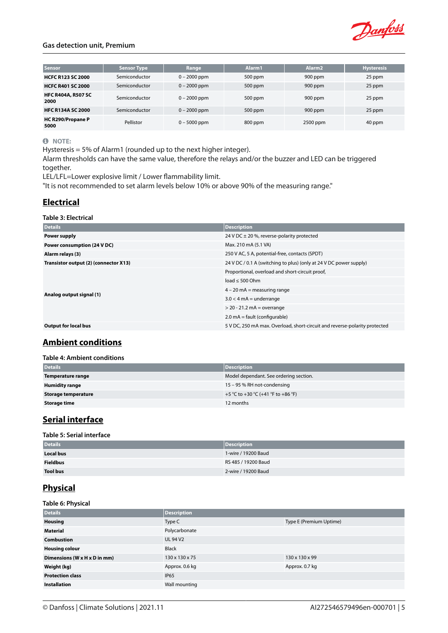

| <b>Sensor</b>                     | Sensor Type   | <b>Range</b>   | Alarm1    | Alarm <sub>2</sub> | <b>Hysteresis</b> |
|-----------------------------------|---------------|----------------|-----------|--------------------|-------------------|
| <b>HCFC R123 SC 2000</b>          | Semiconductor | $0 - 2000$ ppm | $500$ ppm | $900$ ppm          | 25 ppm            |
| <b>HCFC R401 SC 2000</b>          | Semiconductor | $0 - 2000$ ppm | 500 ppm   | 900 ppm            | 25 ppm            |
| <b>HFC R404A, R507 SC</b><br>2000 | Semiconductor | $0 - 2000$ ppm | $500$ ppm | 900 ppm            | 25 ppm            |
| <b>HFC R134A SC 2000</b>          | Semiconductor | $0 - 2000$ ppm | 500 ppm   | 900 ppm            | 25 ppm            |
| HC R290/Propane P<br>5000         | Pellistor     | $0 - 5000$ ppm | 800 ppm   | 2500 ppm           | 40 ppm            |

#### *<u>O* NOTE:</u>

Hysteresis = 5% of Alarm1 (rounded up to the next higher integer).

Alarm thresholds can have the same value, therefore the relays and/or the buzzer and LED can be triggered together.

LEL/LFL=Lower explosive limit / Lower flammability limit.

"It is not recommended to set alarm levels below 10% or above 90% of the measuring range."

# **Electrical**

**Table 3: Electrical**

| <b>Details</b>                        | <b>Description</b>                                                         |
|---------------------------------------|----------------------------------------------------------------------------|
| Power supply                          | 24 V DC $\pm$ 20 %, reverse-polarity protected                             |
| Power consumption (24 V DC)           | Max. 210 mA (5.1 VA)                                                       |
| Alarm relays (3)                      | 250 V AC, 5 A, potential-free, contacts (SPDT)                             |
| Transistor output (2) (connector X13) | 24 V DC / 0.1 A (switching to plus) (only at 24 V DC power supply)         |
|                                       | Proportional, overload and short-circuit proof,                            |
|                                       | load < 500 Ohm                                                             |
| Analog output signal (1)              | $4 - 20$ mA = measuring range                                              |
|                                       | $3.0 < 4$ mA = underrange                                                  |
|                                       | $>$ 20 - 21.2 mA = overrange                                               |
|                                       | $2.0 \text{ mA} = \text{fault}$ (configurable)                             |
| <b>Output for local bus</b>           | 5 V DC, 250 mA max. Overload, short-circuit and reverse-polarity protected |

# **Ambient conditions**

#### **Table 4: Ambient conditions**

| <b>Details</b>             | <b>Description</b>                     |
|----------------------------|----------------------------------------|
| Temperature range          | Model dependant. See ordering section. |
| <b>Humidity range</b>      | 15 - 95 % RH not-condensing            |
| <b>Storage temperature</b> | +5 °C to +30 °C (+41 °F to +86 °F)     |
| Storage time               | 12 months                              |

# **Serial interface**

#### **Table 5: Serial interface**

| <b>Details</b>   | <b>Description</b>  |
|------------------|---------------------|
| <b>Local bus</b> | 1-wire / 19200 Baud |
| <b>Fieldbus</b>  | RS 485 / 19200 Baud |
| <b>Tool bus</b>  | 2-wire / 19200 Baud |

# **Physical**

#### **Table 6: Physical**

| <b>Details</b>               | <b>Description</b> |                         |
|------------------------------|--------------------|-------------------------|
| <b>Housing</b>               | Type C             | Type E (Premium Uptime) |
| <b>Material</b>              | Polycarbonate      |                         |
| <b>Combustion</b>            | <b>UL 94 V2</b>    |                         |
| <b>Housing colour</b>        | <b>Black</b>       |                         |
| Dimensions (W x H x D in mm) | 130 x 130 x 75     | 130 x 130 x 99          |
| Weight (kg)                  | Approx. 0.6 kg     | Approx. 0.7 kg          |
| <b>Protection class</b>      | <b>IP65</b>        |                         |
| <b>Installation</b>          | Wall mounting      |                         |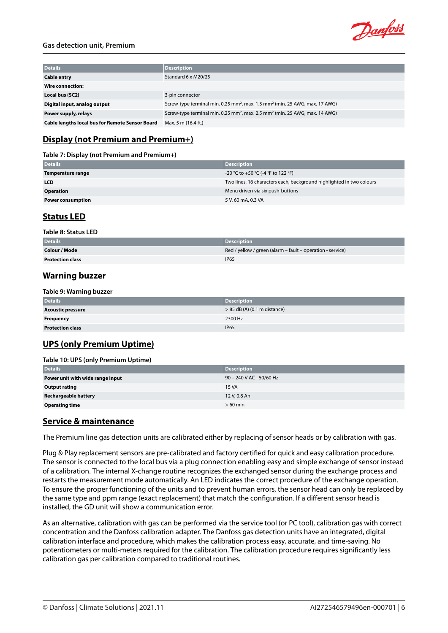

| <b>Details</b>                                         | <b>Description</b>                                                                                  |
|--------------------------------------------------------|-----------------------------------------------------------------------------------------------------|
| <b>Cable entry</b>                                     | Standard 6 x M20/25                                                                                 |
| Wire connection:                                       |                                                                                                     |
| Local bus (SC2)                                        | 3-pin connector                                                                                     |
| Digital input, analog output                           | Screw-type terminal min. 0.25 mm <sup>2</sup> , max. 1.3 mm <sup>2</sup> (min. 25 AWG, max. 17 AWG) |
| Power supply, relays                                   | Screw-type terminal min. 0.25 mm <sup>2</sup> , max. 2.5 mm <sup>2</sup> (min. 25 AWG, max. 14 AWG) |
| <b>Cable lengths local bus for Remote Sensor Board</b> | Max. 5 m (16.4 ft.)                                                                                 |

# **Display (not Premium and Premium+)**

**Table 7: Display (not Premium and Premium+)**

| <b>Details</b>           | <b>Description</b>                                                   |
|--------------------------|----------------------------------------------------------------------|
| Temperature range        | -20 °C to +50 °C (-4 °F to 122 °F)                                   |
| <b>LCD</b>               | Two lines, 16 characters each, background highlighted in two colours |
| <b>Operation</b>         | Menu driven via six push-buttons                                     |
| <b>Power consumption</b> | 5 V, 60 mA, 0.3 VA                                                   |
|                          |                                                                      |

# **Status LED**

| Table 8: Status LED     |                                                            |
|-------------------------|------------------------------------------------------------|
| <b>Details</b>          | Description                                                |
| Colour / Mode           | Red / yellow / green (alarm - fault - operation - service) |
| <b>Protection class</b> | <b>IP65</b>                                                |

### **Warning buzzer**

**Table 9: Warning buzzer**

| <b>Details</b>           | Description                    |
|--------------------------|--------------------------------|
| <b>Acoustic pressure</b> | $> 85$ dB (A) (0.1 m distance) |
| Frequency                | 2300 Hz                        |
| <b>Protection class</b>  | <b>IP65</b>                    |

# **UPS (only Premium Uptime)**

**Table 10: UPS (only Premium Uptime)**

| <b>Details</b>                   | <b>Description</b>       |
|----------------------------------|--------------------------|
| Power unit with wide range input | 90 - 240 V AC - 50/60 Hz |
| <b>Output rating</b>             | <b>15 VA</b>             |
| <b>Rechargeable battery</b>      | 12 V, 0.8 Ah             |
| <b>Operating time</b>            | $>60$ min                |

### **Service & maintenance**

The Premium line gas detection units are calibrated either by replacing of sensor heads or by calibration with gas.

Plug & Play replacement sensors are pre-calibrated and factory certified for quick and easy calibration procedure. The sensor is connected to the local bus via a plug connection enabling easy and simple exchange of sensor instead of a calibration. The internal X-change routine recognizes the exchanged sensor during the exchange process and restarts the measurement mode automatically. An LED indicates the correct procedure of the exchange operation. To ensure the proper functioning of the units and to prevent human errors, the sensor head can only be replaced by the same type and ppm range (exact replacement) that match the configuration. If a different sensor head is installed, the GD unit will show a communication error.

As an alternative, calibration with gas can be performed via the service tool (or PC tool), calibration gas with correct concentration and the Danfoss calibration adapter. The Danfoss gas detection units have an integrated, digital calibration interface and procedure, which makes the calibration process easy, accurate, and time-saving. No potentiometers or multi-meters required for the calibration. The calibration procedure requires significantly less calibration gas per calibration compared to traditional routines.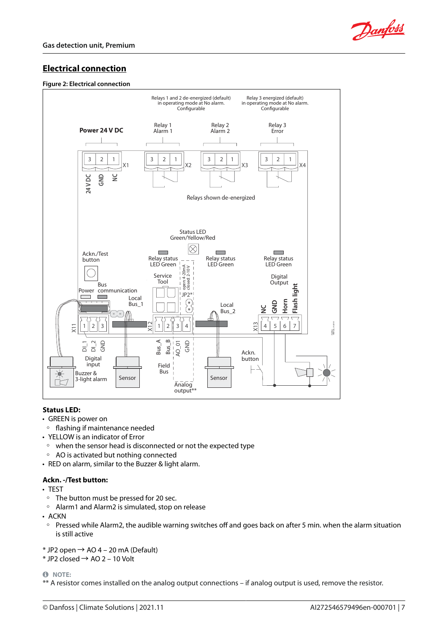

# **Electrical connection**

#### **Figure 2: Electrical connection**



### **Status LED:**

- GREEN is power on
- flashing if maintenance needed
- YELLOW is an indicator of Error
- when the sensor head is disconnected or not the expected type
- AO is activated but nothing connected
- RED on alarm, similar to the Buzzer & light alarm.

#### **Ackn. -/Test button:**

- TEST
	- The button must be pressed for 20 sec.
- Alarm1 and Alarm2 is simulated, stop on release
- ACKN
	- Pressed while Alarm2, the audible warning switches off and goes back on after 5 min. when the alarm situation is still active
- $*$  JP2 open  $\rightarrow$  AO 4 20 mA (Default)
- $*$  JP2 closed  $\rightarrow$  AO 2 10 Volt

 $\theta$  NOTE:

\*\* A resistor comes installed on the analog output connections – if analog output is used, remove the resistor.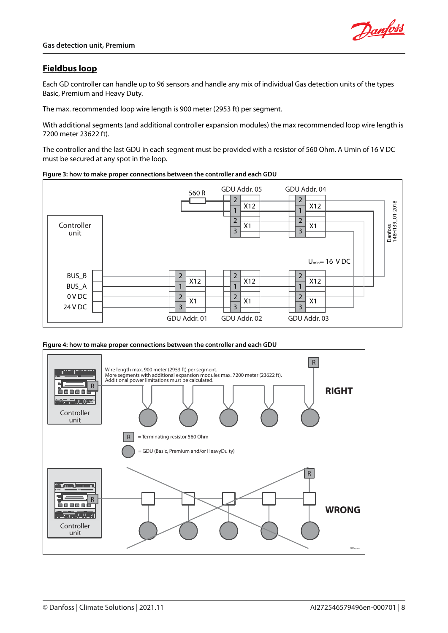

# **Fieldbus loop**

Each GD controller can handle up to 96 sensors and handle any mix of individual Gas detection units of the types Basic, Premium and Heavy Duty.

The max. recommended loop wire length is 900 meter (2953 ft) per segment.

With additional segments (and additional controller expansion modules) the max recommended loop wire length is 7200 meter 23622 ft).

The controller and the last GDU in each segment must be provided with a resistor of 560 Ohm. A Umin of 16 V DC must be secured at any spot in the loop.

#### **Figure 3: how to make proper connections between the controller and each GDU**



#### **Figure 4: how to make proper connections between the controller and each GDU**

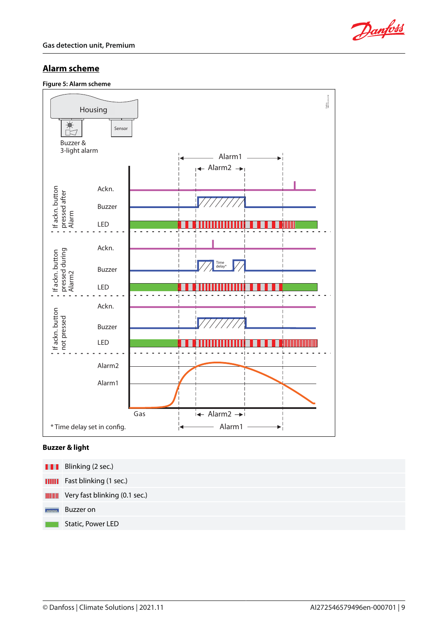

# **Alarm scheme**

**Figure 5: Alarm scheme**



### **Buzzer & light**

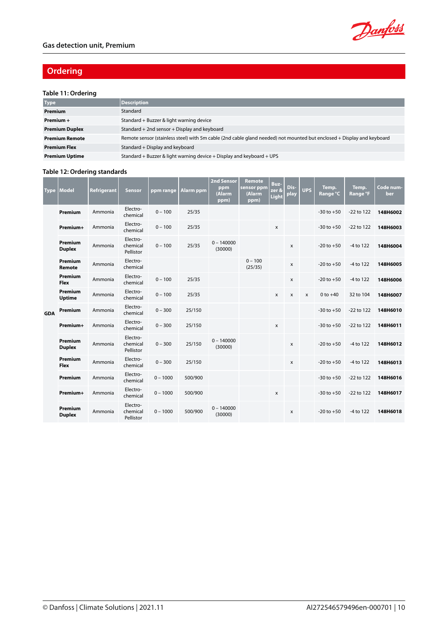

# **Ordering**

### **Table 11: Ordering**

| <b>Type</b>           | <b>Description</b>                                                                                                     |
|-----------------------|------------------------------------------------------------------------------------------------------------------------|
| <b>Premium</b>        | Standard                                                                                                               |
| Premium +             | Standard + Buzzer & light warning device                                                                               |
| <b>Premium Duplex</b> | Standard + 2nd sensor + Display and keyboard                                                                           |
| <b>Premium Remote</b> | Remote sensor (stainless steel) with 5m cable (2nd cable gland needed) not mounted but enclosed + Display and keyboard |
| <b>Premium Flex</b>   | Standard + Display and keyboard                                                                                        |
| <b>Premium Uptime</b> | Standard + Buzzer & light warning device + Display and keyboard + UPS                                                  |

### **Table 12: Ordering standards**

| <b>Type</b> | Model                    | Refrigerant | <b>Sensor</b>                     | ppm range  | <b>Alarm ppm</b> | <b>2nd Sensor</b><br>ppm<br>(Alarm<br>ppm) | <b>Remote</b><br>sensor ppm<br>(Alarm<br>ppm) | Buz-<br>zer &<br>Light | Dis-<br>play       | <b>UPS</b>   | Temp.<br>Range °C | Temp.<br>Range °F | Code num-<br>ber |
|-------------|--------------------------|-------------|-----------------------------------|------------|------------------|--------------------------------------------|-----------------------------------------------|------------------------|--------------------|--------------|-------------------|-------------------|------------------|
|             | Premium                  | Ammonia     | Electro-<br>chemical              | $0 - 100$  | 25/35            |                                            |                                               |                        |                    |              | $-30$ to $+50$    | -22 to 122        | 148H6002         |
|             | Premium+                 | Ammonia     | Electro-<br>chemical              | $0 - 100$  | 25/35            |                                            |                                               | $\pmb{\chi}$           |                    |              | $-30$ to $+50$    | $-22$ to 122      | 148H6003         |
|             | Premium<br><b>Duplex</b> | Ammonia     | Electro-<br>chemical<br>Pellistor | $0 - 100$  | 25/35            | $0 - 140000$<br>(30000)                    |                                               |                        | $\mathsf{x}$       |              | $-20$ to $+50$    | -4 to 122         | 148H6004         |
|             | Premium<br>Remote        | Ammonia     | Electro-<br>chemical              |            |                  |                                            | $0 - 100$<br>(25/35)                          |                        | X                  |              | $-20$ to $+50$    | -4 to 122         | 148H6005         |
|             | Premium<br><b>Flex</b>   | Ammonia     | Electro-<br>chemical              | $0 - 100$  | 25/35            |                                            |                                               |                        | $\pmb{\chi}$       |              | $-20$ to $+50$    | -4 to 122         | 148H6006         |
|             | Premium<br><b>Uptime</b> | Ammonia     | Electro-<br>chemical              | $0 - 100$  | 25/35            |                                            |                                               | $\mathsf{x}$           | $\pmb{\mathsf{x}}$ | $\mathsf{x}$ | $0$ to $+40$      | 32 to 104         | 148H6007         |
| <b>GDA</b>  | Premium                  | Ammonia     | Electro-<br>chemical              | $0 - 300$  | 25/150           |                                            |                                               |                        |                    |              | $-30$ to $+50$    | -22 to 122        | 148H6010         |
|             | Premium+                 | Ammonia     | Electro-<br>chemical              | $0 - 300$  | 25/150           |                                            |                                               | X                      |                    |              | $-30$ to $+50$    | $-22$ to 122      | 148H6011         |
|             | Premium<br><b>Duplex</b> | Ammonia     | Electro-<br>chemical<br>Pellistor | $0 - 300$  | 25/150           | $0 - 140000$<br>(30000)                    |                                               |                        | $\pmb{\chi}$       |              | $-20$ to $+50$    | -4 to 122         | 148H6012         |
|             | Premium<br><b>Flex</b>   | Ammonia     | Electro-<br>chemical              | $0 - 300$  | 25/150           |                                            |                                               |                        | $\mathsf{x}$       |              | $-20$ to $+50$    | -4 to 122         | 148H6013         |
|             | Premium                  | Ammonia     | Electro-<br>chemical              | $0 - 1000$ | 500/900          |                                            |                                               |                        |                    |              | $-30$ to $+50$    | -22 to 122        | 148H6016         |
|             | Premium+                 | Ammonia     | Electro-<br>chemical              | $0 - 1000$ | 500/900          |                                            |                                               | X                      |                    |              | $-30$ to $+50$    | -22 to 122        | 148H6017         |
|             | Premium<br><b>Duplex</b> | Ammonia     | Electro-<br>chemical<br>Pellistor | $0 - 1000$ | 500/900          | $0 - 140000$<br>(30000)                    |                                               |                        | $\pmb{\chi}$       |              | $-20$ to $+50$    | -4 to 122         | 148H6018         |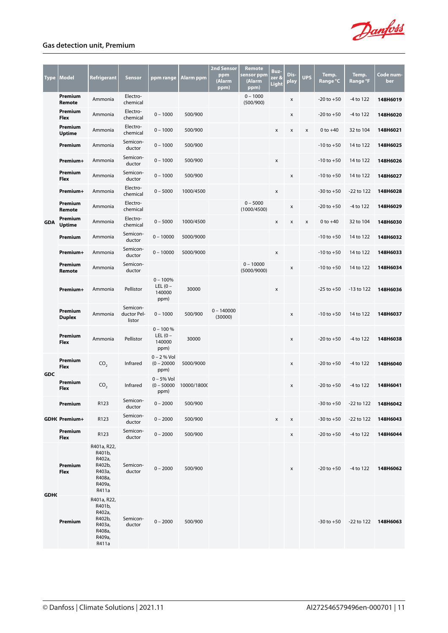

| <b>Type</b> | <b>Model</b>             | Refrigerant                                                                      | <b>Sensor</b>                     | ppm range                                   | Alarm ppm   | 2nd Sensor<br>ppm<br>(Alarm<br>ppm) | Remote<br>sensor ppm<br>(Alarm<br>ppm) | Buz-<br>zer &<br>Light | Dis-<br>play       | <b>UPS</b> | Temp.<br>Range °C | Temp.<br>Range <b>°F</b> | Code num-<br>ber |
|-------------|--------------------------|----------------------------------------------------------------------------------|-----------------------------------|---------------------------------------------|-------------|-------------------------------------|----------------------------------------|------------------------|--------------------|------------|-------------------|--------------------------|------------------|
|             | Premium<br>Remote        | Ammonia                                                                          | Electro-<br>chemical              |                                             |             |                                     | $0 - 1000$<br>(500/900)                |                        | $\pmb{\times}$     |            | $-20$ to $+50$    | -4 to 122                | 148H6019         |
|             | Premium<br>Flex          | Ammonia                                                                          | Electro-<br>chemical              | $0 - 1000$                                  | 500/900     |                                     |                                        |                        | x                  |            | $-20$ to $+50$    | -4 to 122                | 148H6020         |
|             | Premium<br><b>Uptime</b> | Ammonia                                                                          | Electro-<br>chemical              | $0 - 1000$                                  | 500/900     |                                     |                                        | $\pmb{\times}$         | x                  | x          | $0$ to $+40$      | 32 to 104                | 148H6021         |
|             | Premium                  | Ammonia                                                                          | Semicon-<br>ductor                | $0 - 1000$                                  | 500/900     |                                     |                                        |                        |                    |            | $-10$ to $+50$    | 14 to 122                | 148H6025         |
|             | Premium+                 | Ammonia                                                                          | Semicon-<br>ductor                | $0 - 1000$                                  | 500/900     |                                     |                                        | $\pmb{\times}$         |                    |            | $-10$ to $+50$    | 14 to 122                | 148H6026         |
|             | Premium<br>Flex          | Ammonia                                                                          | Semicon-<br>ductor                | $0 - 1000$                                  | 500/900     |                                     |                                        |                        | X                  |            | $-10$ to $+50$    | 14 to 122                | 148H6027         |
|             | Premium+                 | Ammonia                                                                          | Electro-<br>chemical              | $0 - 5000$                                  | 1000/4500   |                                     |                                        | x                      |                    |            | $-30$ to $+50$    | -22 to 122               | 148H6028         |
|             | Premium<br>Remote        | Ammonia                                                                          | Electro-<br>chemical              |                                             |             |                                     | $0 - 5000$<br>(1000/4500)              |                        | X                  |            | $-20$ to $+50$    | -4 to 122                | 148H6029         |
| <b>GDA</b>  | Premium<br><b>Uptime</b> | Ammonia                                                                          | Electro-<br>chemical              | $0 - 5000$                                  | 1000/4500   |                                     |                                        | $\pmb{\mathsf{x}}$     | $\pmb{\mathsf{x}}$ | x          | $0$ to $+40$      | 32 to 104                | 148H6030         |
|             | Premium                  | Ammonia                                                                          | Semicon-<br>ductor                | $0 - 10000$                                 | 5000/9000   |                                     |                                        |                        |                    |            | $-10$ to $+50$    | 14 to 122                | 148H6032         |
|             | Premium+                 | Ammonia                                                                          | Semicon-<br>ductor                | $0 - 10000$                                 | 5000/9000   |                                     |                                        | X                      |                    |            | $-10$ to $+50$    | 14 to 122                | 148H6033         |
|             | Premium<br>Remote        | Ammonia                                                                          | Semicon-<br>ductor                |                                             |             |                                     | $0 - 10000$<br>(5000/9000)             |                        | x                  |            | $-10$ to $+50$    | 14 to 122                | 148H6034         |
|             | Premium+                 | Ammonia                                                                          | Pellistor                         | $0 - 100%$<br>LEL $(0 -$<br>140000<br>ppm)  | 30000       |                                     |                                        | $\pmb{\times}$         |                    |            | $-25$ to $+50$    | -13 to 122               | 148H6036         |
|             | Premium<br><b>Duplex</b> | Ammonia                                                                          | Semicon-<br>ductor Pel-<br>listor | $0 - 1000$                                  | 500/900     | $0 - 140000$<br>(30000)             |                                        |                        | $\pmb{\mathsf{x}}$ |            | $-10$ to $+50$    | 14 to 122                | 148H6037         |
|             | Premium<br>Flex          | Ammonia                                                                          | Pellistor                         | $0 - 100 %$<br>LEL $(0 -$<br>140000<br>ppm) | 30000       |                                     |                                        |                        | $\pmb{\mathsf{x}}$ |            | $-20$ to $+50$    | -4 to 122                | 148H6038         |
| <b>GDC</b>  | Premium<br>Flex          | CO <sub>2</sub>                                                                  | Infrared                          | $0 - 2 %$ Vol<br>$(0 - 20000)$<br>ppm)      | 5000/9000   |                                     |                                        |                        | X                  |            | $-20$ to $+50$    | -4 to 122                | 148H6040         |
|             | Premium<br>Flex          | CO <sub>2</sub>                                                                  | Infrared                          | $0 - 5%$ Vol<br>$(0 - 50000)$<br>ppm)       | 10000/18000 |                                     |                                        |                        | X                  |            | $-20$ to $+50$    | -4 to 122                | 148H6041         |
|             | Premium                  | R123                                                                             | Semicon-<br>ductor                | $0 - 2000$                                  | 500/900     |                                     |                                        |                        |                    |            | $-30$ to $+50$    | -22 to 122               | 148H6042         |
|             | <b>GDHC Premium+</b>     | R123                                                                             | Semicon-<br>ductor                | $0 - 2000$                                  | 500/900     |                                     |                                        | x                      | x                  |            | $-30$ to $+50$    | -22 to 122               | 148H6043         |
|             | Premium<br>Flex          | R123                                                                             | Semicon-<br>ductor                | $0 - 2000$                                  | 500/900     |                                     |                                        |                        | x                  |            | $-20$ to $+50$    | -4 to 122                | 148H6044         |
| <b>GDHC</b> | Premium<br>Flex          | R401a, R22,<br>R401b,<br>R402a,<br>R402b,<br>R403a,<br>R408a,<br>R409a,<br>R411a | Semicon-<br>ductor                | $0 - 2000$                                  | 500/900     |                                     |                                        |                        | x                  |            | $-20$ to $+50$    | -4 to 122                | 148H6062         |
|             | Premium                  | R401a, R22,<br>R401b,<br>R402a,<br>R402b,<br>R403a,<br>R408a,<br>R409a,<br>R411a | Semicon-<br>ductor                | $0 - 2000$                                  | 500/900     |                                     |                                        |                        |                    |            | $-30$ to $+50$    | $-22$ to 122             | 148H6063         |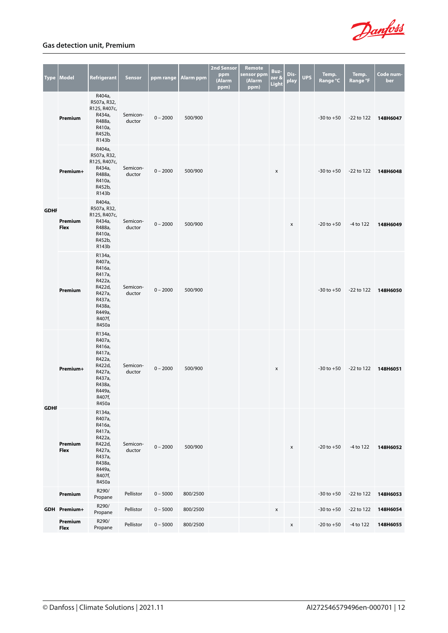

| Type        | <b>Model</b>    | Refrigerant                                                                                                         | Sensor             | ppm range  | Alarm ppm | 2nd Sensor<br>ppm<br>(Alarm<br>ppm) | Remote<br>sensor ppm<br>(Alarm<br>ppm) | <b>Buz-</b><br>zer &<br><b>Light</b> | Dis-<br>play       | <b>UPS</b> | Temp.<br>Range °C | Temp.<br>Range °F     | Code num-<br>ber |
|-------------|-----------------|---------------------------------------------------------------------------------------------------------------------|--------------------|------------|-----------|-------------------------------------|----------------------------------------|--------------------------------------|--------------------|------------|-------------------|-----------------------|------------------|
| <b>GDHF</b> | Premium         | R404a,<br>R507a, R32,<br>R125, R407c,<br>R434a,<br>R488a,<br>R410a,<br>R452b,<br>R143b                              | Semicon-<br>ductor | $0 - 2000$ | 500/900   |                                     |                                        |                                      |                    |            | $-30$ to $+50$    | $-22$ to 122          | 148H6047         |
|             | Premium+        | R404a,<br>R507a, R32,<br>R125, R407c,<br>R434a,<br>R488a,<br>R410a,<br>R452b,<br>R143b                              | Semicon-<br>ductor | $0 - 2000$ | 500/900   |                                     |                                        | x                                    |                    |            | $-30$ to $+50$    | $-22$ to 122          | 148H6048         |
|             | Premium<br>Flex | R404a,<br>R507a, R32,<br>R125, R407c,<br>R434a,<br>R488a,<br>R410a,<br>R452b,<br>R143b                              | Semicon-<br>ductor | $0 - 2000$ | 500/900   |                                     |                                        |                                      | x                  |            | $-20$ to $+50$    | -4 to 122             | 148H6049         |
|             | Premium         | R134a,<br>R407a,<br>R416a,<br>R417a,<br>R422a,<br>R422d,<br>R427a,<br>R437a,<br>R438a,<br>R449a,<br>R407f,<br>R450a | Semicon-<br>ductor | $0 - 2000$ | 500/900   |                                     |                                        |                                      |                    |            | $-30$ to $+50$    | $-22$ to 122          | 148H6050         |
|             | Premium+        | R134a,<br>R407a,<br>R416a,<br>R417a,<br>R422a,<br>R422d,<br>R427a,<br>R437a,<br>R438a,<br>R449a,<br>R407f,<br>R450a | Semicon-<br>ductor | $0 - 2000$ | 500/900   |                                     |                                        | x                                    |                    |            | $-30$ to $+50$    | $-22$ to 122 148H6051 |                  |
| <b>GDHF</b> | Premium<br>Flex | R134a,<br>R407a,<br>R416a,<br>R417a,<br>R422a,<br>R422d,<br>R427a,<br>R437a,<br>R438a,<br>R449a,<br>R407f,<br>R450a | Semicon-<br>ductor | $0 - 2000$ | 500/900   |                                     |                                        |                                      | $\pmb{\mathsf{x}}$ |            | $-20$ to $+50$    | -4 to 122             | 148H6052         |
|             | Premium         | R290/<br>Propane                                                                                                    | Pellistor          | $0 - 5000$ | 800/2500  |                                     |                                        |                                      |                    |            | $-30$ to $+50$    | -22 to 122            | 148H6053         |
|             | GDH Premium+    | R290/<br>Propane                                                                                                    | Pellistor          | $0 - 5000$ | 800/2500  |                                     |                                        | x                                    |                    |            | $-30$ to $+50$    | -22 to 122            | 148H6054         |
|             | Premium<br>Flex | R290/<br>Propane                                                                                                    | Pellistor          | $0 - 5000$ | 800/2500  |                                     |                                        |                                      | $\pmb{\mathsf{x}}$ |            | $-20$ to $+50$    | -4 to 122             | 148H6055         |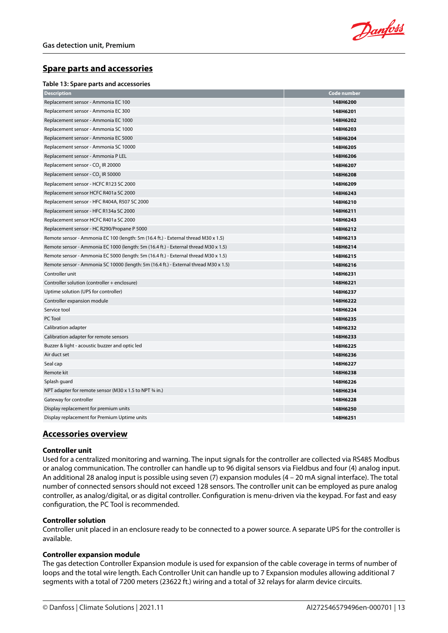

# **Spare parts and accessories**

#### **Table 13: Spare parts and accessories**

| <b>Description</b>                                                                   | Code number |
|--------------------------------------------------------------------------------------|-------------|
| Replacement sensor - Ammonia EC 100                                                  | 148H6200    |
| Replacement sensor - Ammonia EC 300                                                  | 148H6201    |
| Replacement sensor - Ammonia EC 1000                                                 | 148H6202    |
| Replacement sensor - Ammonia SC 1000                                                 | 148H6203    |
| Replacement sensor - Ammonia EC 5000                                                 | 148H6204    |
| Replacement sensor - Ammonia SC 10000                                                | 148H6205    |
| Replacement sensor - Ammonia P LEL                                                   | 148H6206    |
| Replacement sensor - CO <sub>2</sub> IR 20000                                        | 148H6207    |
| Replacement sensor - CO <sub>2</sub> IR 50000                                        | 148H6208    |
| Replacement sensor - HCFC R123 SC 2000                                               | 148H6209    |
| Replacement sensor HCFC R401a SC 2000                                                | 148H6243    |
| Replacement sensor - HFC R404A, R507 SC 2000                                         | 148H6210    |
| Replacement sensor - HFC R134a SC 2000                                               | 148H6211    |
| Replacement sensor HCFC R401a SC 2000                                                | 148H6243    |
| Replacement sensor - HC R290/Propane P 5000                                          | 148H6212    |
| Remote sensor - Ammonia EC 100 (length: 5m (16.4 ft.) - External thread M30 x 1.5)   | 148H6213    |
| Remote sensor - Ammonia EC 1000 (length: 5m (16.4 ft.) - External thread M30 x 1.5)  | 148H6214    |
| Remote sensor - Ammonia EC 5000 (length: 5m (16.4 ft.) - External thread M30 x 1.5)  | 148H6215    |
| Remote sensor - Ammonia SC 10000 (length: 5m (16.4 ft.) - External thread M30 x 1.5) | 148H6216    |
| Controller unit                                                                      | 148H6231    |
| Controller solution (controller + enclosure)                                         | 148H6221    |
| Uptime solution (UPS for controller)                                                 | 148H6237    |
| Controller expansion module                                                          | 148H6222    |
| Service tool                                                                         | 148H6224    |
| PC Tool                                                                              | 148H6235    |
| Calibration adapter                                                                  | 148H6232    |
| Calibration adapter for remote sensors                                               | 148H6233    |
| Buzzer & light - acoustic buzzer and optic led                                       | 148H6225    |
| Air duct set                                                                         | 148H6236    |
| Seal cap                                                                             | 148H6227    |
| Remote kit                                                                           | 148H6238    |
| Splash guard                                                                         | 148H6226    |
| NPT adapter for remote sensor (M30 x 1.5 to NPT 3/4 in.)                             | 148H6234    |
| Gateway for controller                                                               | 148H6228    |
| Display replacement for premium units                                                | 148H6250    |
| Display replacement for Premium Uptime units                                         | 148H6251    |

# **Accessories overview**

### **Controller unit**

Used for a centralized monitoring and warning. The input signals for the controller are collected via RS485 Modbus or analog communication. The controller can handle up to 96 digital sensors via Fieldbus and four (4) analog input. An additional 28 analog input is possible using seven (7) expansion modules (4 – 20 mA signal interface). The total number of connected sensors should not exceed 128 sensors. The controller unit can be employed as pure analog controller, as analog/digital, or as digital controller. Configuration is menu-driven via the keypad. For fast and easy configuration, the PC Tool is recommended.

#### **Controller solution**

Controller unit placed in an enclosure ready to be connected to a power source. A separate UPS for the controller is available.

### **Controller expansion module**

The gas detection Controller Expansion module is used for expansion of the cable coverage in terms of number of loops and the total wire length. Each Controller Unit can handle up to 7 Expansion modules allowing additional 7 segments with a total of 7200 meters (23622 ft.) wiring and a total of 32 relays for alarm device circuits.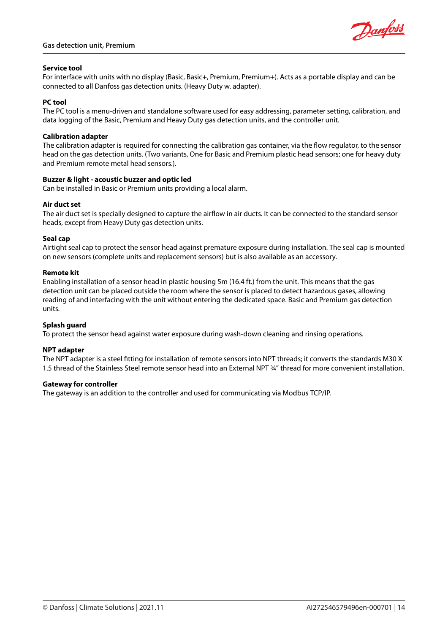

### **Service tool**

For interface with units with no display (Basic, Basic+, Premium, Premium+). Acts as a portable display and can be connected to all Danfoss gas detection units. (Heavy Duty w. adapter).

### **PC tool**

The PC tool is a menu-driven and standalone software used for easy addressing, parameter setting, calibration, and data logging of the Basic, Premium and Heavy Duty gas detection units, and the controller unit.

### **Calibration adapter**

The calibration adapter is required for connecting the calibration gas container, via the flow regulator, to the sensor head on the gas detection units. (Two variants, One for Basic and Premium plastic head sensors; one for heavy duty and Premium remote metal head sensors.).

#### **Buzzer & light - acoustic buzzer and optic led**

Can be installed in Basic or Premium units providing a local alarm.

### **Air duct set**

The air duct set is specially designed to capture the airflow in air ducts. It can be connected to the standard sensor heads, except from Heavy Duty gas detection units.

### **Seal cap**

Airtight seal cap to protect the sensor head against premature exposure during installation. The seal cap is mounted on new sensors (complete units and replacement sensors) but is also available as an accessory.

### **Remote kit**

Enabling installation of a sensor head in plastic housing 5m (16.4 ft.) from the unit. This means that the gas detection unit can be placed outside the room where the sensor is placed to detect hazardous gases, allowing reading of and interfacing with the unit without entering the dedicated space. Basic and Premium gas detection units.

#### **Splash guard**

To protect the sensor head against water exposure during wash-down cleaning and rinsing operations.

#### **NPT adapter**

The NPT adapter is a steel fitting for installation of remote sensors into NPT threads; it converts the standards M30 X 1.5 thread of the Stainless Steel remote sensor head into an External NPT ¾" thread for more convenient installation.

#### **Gateway for controller**

The gateway is an addition to the controller and used for communicating via Modbus TCP/IP.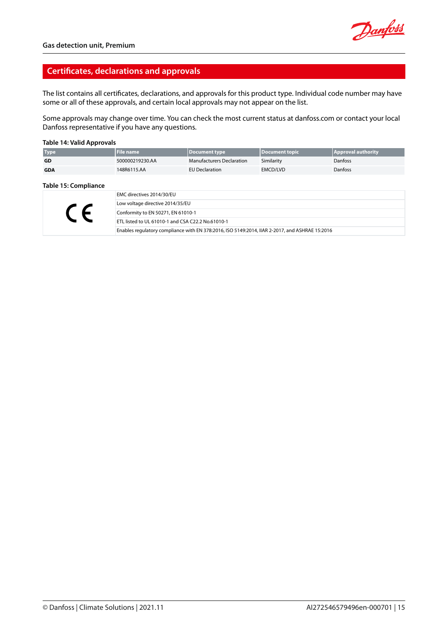

### **Certificates, declarations and approvals**

The list contains all certificates, declarations, and approvals for this product type. Individual code number may have some or all of these approvals, and certain local approvals may not appear on the list.

Some approvals may change over time. You can check the most current status at danfoss.com or contact your local Danfoss representative if you have any questions.

#### **Table 14: Valid Approvals**

| <b>Type</b> | <b>File name</b> | Document type             | Document topic  | Approval authority |
|-------------|------------------|---------------------------|-----------------|--------------------|
| GD          | 500000219230.AA  | Manufacturers Declaration | Similarity      | Danfoss            |
| <b>GDA</b>  | 148R6115.AA      | <b>EU Declaration</b>     | <b>EMCD/LVD</b> | <b>Danfoss</b>     |

#### **Table 15: Compliance**

| EMC directives 2014/30/EU                                                                      |
|------------------------------------------------------------------------------------------------|
| Low voltage directive 2014/35/EU                                                               |
| Conformity to EN 50271, EN 61010-1                                                             |
| ETL listed to UL 61010-1 and CSA C22.2 No.61010-1                                              |
| Enables regulatory compliance with EN 378:2016, ISO 5149:2014, IIAR 2-2017, and ASHRAE 15:2016 |